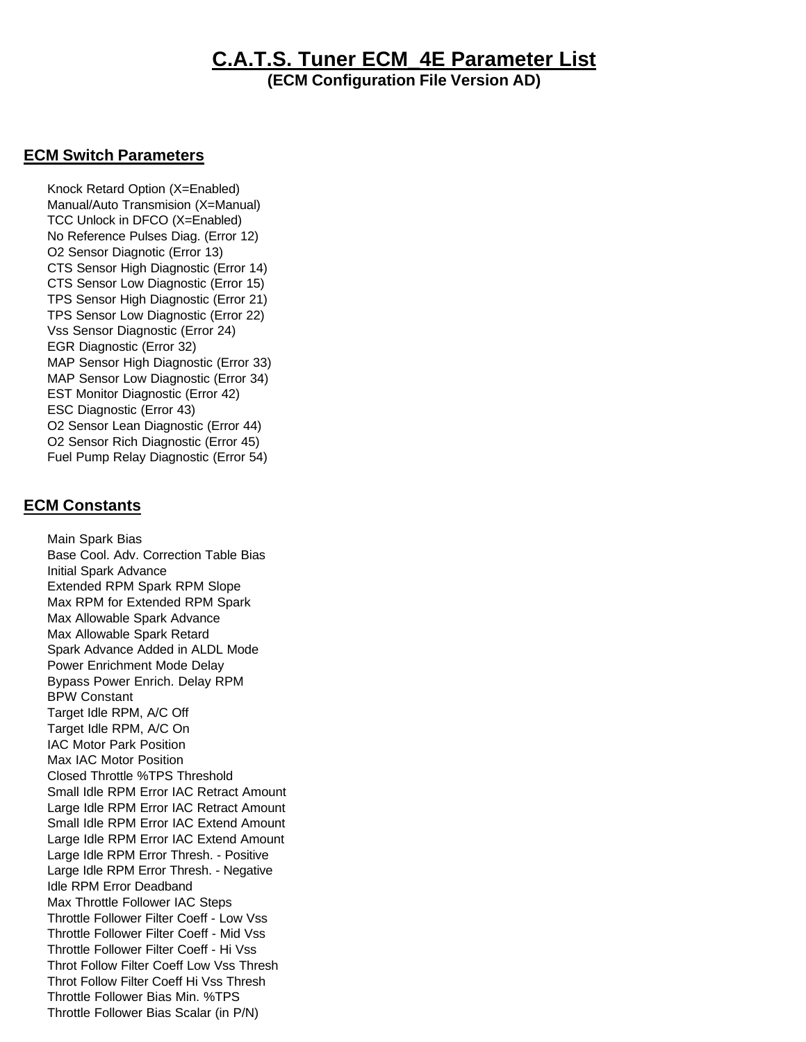## **C.A.T.S. Tuner ECM\_4E Parameter List**

**(ECM Configuration File Version AD)**

## **ECM Switch Parameters**

 Knock Retard Option (X=Enabled) Manual/Auto Transmision (X=Manual) TCC Unlock in DFCO (X=Enabled) No Reference Pulses Diag. (Error 12) O2 Sensor Diagnotic (Error 13) CTS Sensor High Diagnostic (Error 14) CTS Sensor Low Diagnostic (Error 15) TPS Sensor High Diagnostic (Error 21) TPS Sensor Low Diagnostic (Error 22) Vss Sensor Diagnostic (Error 24) EGR Diagnostic (Error 32) MAP Sensor High Diagnostic (Error 33) MAP Sensor Low Diagnostic (Error 34) EST Monitor Diagnostic (Error 42) ESC Diagnostic (Error 43) O2 Sensor Lean Diagnostic (Error 44) O2 Sensor Rich Diagnostic (Error 45) Fuel Pump Relay Diagnostic (Error 54)

## **ECM Constants**

 Main Spark Bias Base Cool. Adv. Correction Table Bias Initial Spark Advance Extended RPM Spark RPM Slope Max RPM for Extended RPM Spark Max Allowable Spark Advance Max Allowable Spark Retard Spark Advance Added in ALDL Mode Power Enrichment Mode Delay Bypass Power Enrich. Delay RPM BPW Constant Target Idle RPM, A/C Off Target Idle RPM, A/C On IAC Motor Park Position Max IAC Motor Position Closed Throttle %TPS Threshold Small Idle RPM Error IAC Retract Amount Large Idle RPM Error IAC Retract Amount Small Idle RPM Error IAC Extend Amount Large Idle RPM Error IAC Extend Amount Large Idle RPM Error Thresh. - Positive Large Idle RPM Error Thresh. - Negative Idle RPM Error Deadband Max Throttle Follower IAC Steps Throttle Follower Filter Coeff - Low Vss Throttle Follower Filter Coeff - Mid Vss Throttle Follower Filter Coeff - Hi Vss Throt Follow Filter Coeff Low Vss Thresh Throt Follow Filter Coeff Hi Vss Thresh Throttle Follower Bias Min. %TPS Throttle Follower Bias Scalar (in P/N)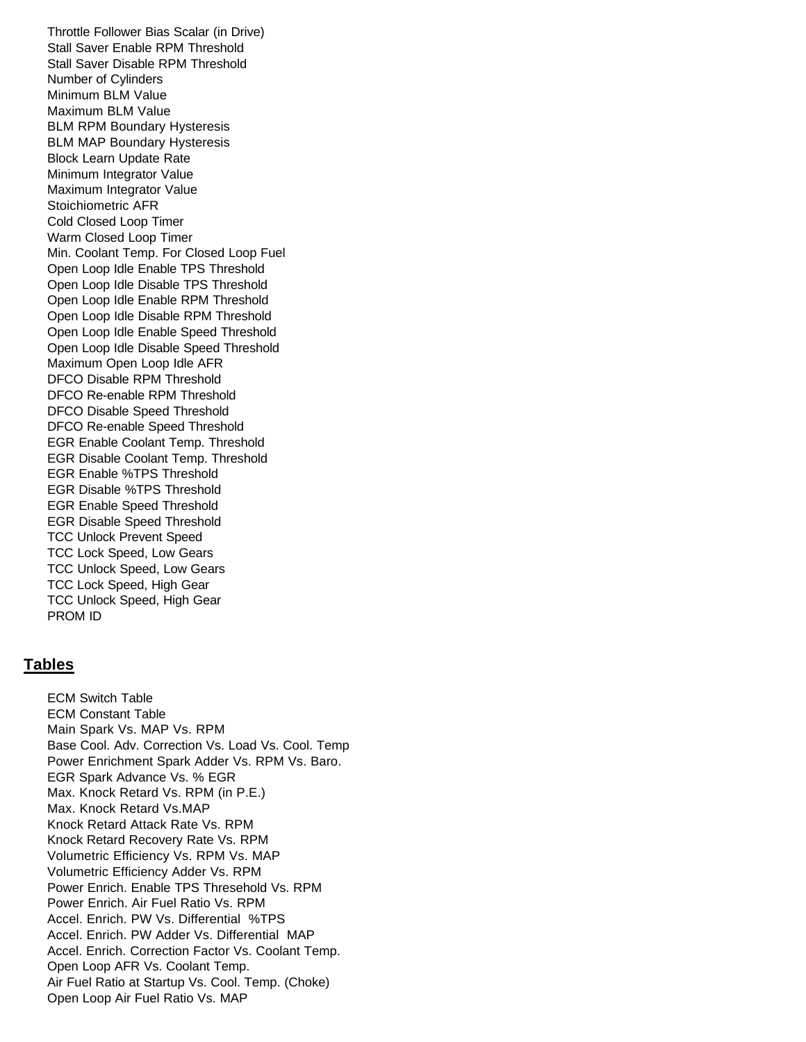Throttle Follower Bias Scalar (in Drive) Stall Saver Enable RPM Threshold Stall Saver Disable RPM Threshold Number of Cylinders Minimum BLM Value Maximum BLM Value BLM RPM Boundary Hysteresis BLM MAP Boundary Hysteresis Block Learn Update Rate Minimum Integrator Value Maximum Integrator Value Stoichiometric AFR Cold Closed Loop Timer Warm Closed Loop Timer Min. Coolant Temp. For Closed Loop Fuel Open Loop Idle Enable TPS Threshold Open Loop Idle Disable TPS Threshold Open Loop Idle Enable RPM Threshold Open Loop Idle Disable RPM Threshold Open Loop Idle Enable Speed Threshold Open Loop Idle Disable Speed Threshold Maximum Open Loop Idle AFR DFCO Disable RPM Threshold DFCO Re-enable RPM Threshold DFCO Disable Speed Threshold DFCO Re-enable Speed Threshold EGR Enable Coolant Temp. Threshold EGR Disable Coolant Temp. Threshold EGR Enable %TPS Threshold EGR Disable %TPS Threshold EGR Enable Speed Threshold EGR Disable Speed Threshold TCC Unlock Prevent Speed TCC Lock Speed, Low Gears TCC Unlock Speed, Low Gears TCC Lock Speed, High Gear TCC Unlock Speed, High Gear PROM ID

## **Tables**

 ECM Switch Table ECM Constant Table Main Spark Vs. MAP Vs. RPM Base Cool. Adv. Correction Vs. Load Vs. Cool. Temp Power Enrichment Spark Adder Vs. RPM Vs. Baro. EGR Spark Advance Vs. % EGR Max. Knock Retard Vs. RPM (in P.E.) Max. Knock Retard Vs.MAP Knock Retard Attack Rate Vs. RPM Knock Retard Recovery Rate Vs. RPM Volumetric Efficiency Vs. RPM Vs. MAP Volumetric Efficiency Adder Vs. RPM Power Enrich. Enable TPS Thresehold Vs. RPM Power Enrich. Air Fuel Ratio Vs. RPM Accel. Enrich. PW Vs. Differential %TPS Accel. Enrich. PW Adder Vs. Differential MAP Accel. Enrich. Correction Factor Vs. Coolant Temp. Open Loop AFR Vs. Coolant Temp. Air Fuel Ratio at Startup Vs. Cool. Temp. (Choke) Open Loop Air Fuel Ratio Vs. MAP